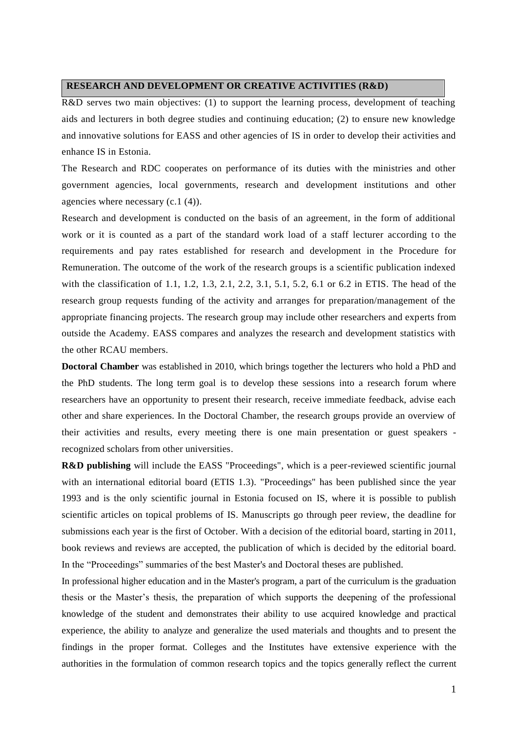## **RESEARCH AND DEVELOPMENT OR CREATIVE ACTIVITIES (R&D)**

R&D serves two main objectives: (1) to support the learning process, development of teaching aids and lecturers in both degree studies and continuing education; (2) to ensure new knowledge and innovative solutions for EASS and other agencies of IS in order to develop their activities and enhance IS in Estonia.

The Research and RDC cooperates on performance of its duties with the ministries and other government agencies, local governments, research and development institutions and other agencies where necessary (c.1 (4)).

Research and development is conducted on the basis of an agreement, in the form of additional work or it is counted as a part of the standard work load of a staff lecturer according to the requirements and pay rates established for research and development in the Procedure for Remuneration. The outcome of the work of the research groups is a scientific publication indexed with the classification of 1.1, 1.2, 1.3, 2.1, 2.2, 3.1, 5.1, 5.2, 6.1 or 6.2 in ETIS. The head of the research group requests funding of the activity and arranges for preparation/management of the appropriate financing projects. The research group may include other researchers and experts from outside the Academy. EASS compares and analyzes the research and development statistics with the other RCAU members.

**Doctoral Chamber** was established in 2010, which brings together the lecturers who hold a PhD and the PhD students. The long term goal is to develop these sessions into a research forum where researchers have an opportunity to present their research, receive immediate feedback, advise each other and share experiences. In the Doctoral Chamber, the research groups provide an overview of their activities and results, every meeting there is one main presentation or guest speakers recognized scholars from other universities.

**R&D publishing** will include the EASS "Proceedings", which is a peer-reviewed scientific journal with an international editorial board (ETIS 1.3). "Proceedings" has been published since the year 1993 and is the only scientific journal in Estonia focused on IS, where it is possible to publish scientific articles on topical problems of IS. Manuscripts go through peer review, the deadline for submissions each year is the first of October. With a decision of the editorial board, starting in 2011, book reviews and reviews are accepted, the publication of which is decided by the editorial board. In the "Proceedings" summaries of the best Master's and Doctoral theses are published.

In professional higher education and in the Master's program, a part of the curriculum is the graduation thesis or the Master's thesis, the preparation of which supports the deepening of the professional knowledge of the student and demonstrates their ability to use acquired knowledge and practical experience, the ability to analyze and generalize the used materials and thoughts and to present the findings in the proper format. Colleges and the Institutes have extensive experience with the authorities in the formulation of common research topics and the topics generally reflect the current